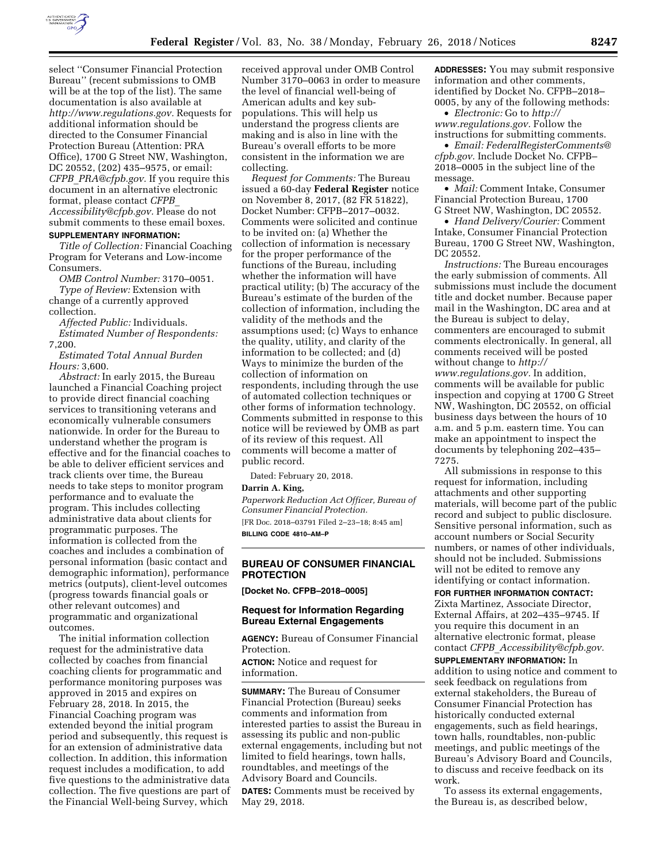

select ''Consumer Financial Protection Bureau'' (recent submissions to OMB will be at the top of the list). The same documentation is also available at *[http://www.regulations.gov.](http://www.regulations.gov)* Requests for additional information should be directed to the Consumer Financial Protection Bureau (Attention: PRA Office), 1700 G Street NW, Washington, DC 20552, (202) 435–9575, or email: *CFPB*\_*[PRA@cfpb.gov.](mailto:CFPB_PRA@cfpb.gov)* If you require this document in an alternative electronic format, please contact *[CFPB](mailto:CFPB_Accessibility@cfpb.gov)*\_ *[Accessibility@cfpb.gov.](mailto:CFPB_Accessibility@cfpb.gov)* Please do not submit comments to these email boxes.

### **SUPPLEMENTARY INFORMATION:**

*Title of Collection:* Financial Coaching Program for Veterans and Low-income Consumers.

*OMB Control Number:* 3170–0051.

*Type of Review:* Extension with change of a currently approved collection.

*Affected Public:* Individuals. *Estimated Number of Respondents:*  7,200.

*Estimated Total Annual Burden Hours:* 3,600.

*Abstract:* In early 2015, the Bureau launched a Financial Coaching project to provide direct financial coaching services to transitioning veterans and economically vulnerable consumers nationwide. In order for the Bureau to understand whether the program is effective and for the financial coaches to be able to deliver efficient services and track clients over time, the Bureau needs to take steps to monitor program performance and to evaluate the program. This includes collecting administrative data about clients for programmatic purposes. The information is collected from the coaches and includes a combination of personal information (basic contact and demographic information), performance metrics (outputs), client-level outcomes (progress towards financial goals or other relevant outcomes) and programmatic and organizational outcomes.

The initial information collection request for the administrative data collected by coaches from financial coaching clients for programmatic and performance monitoring purposes was approved in 2015 and expires on February 28, 2018. In 2015, the Financial Coaching program was extended beyond the initial program period and subsequently, this request is for an extension of administrative data collection. In addition, this information request includes a modification, to add five questions to the administrative data collection. The five questions are part of the Financial Well-being Survey, which

received approval under OMB Control Number 3170–0063 in order to measure the level of financial well-being of American adults and key subpopulations. This will help us understand the progress clients are making and is also in line with the Bureau's overall efforts to be more consistent in the information we are collecting.

*Request for Comments:* The Bureau issued a 60-day **Federal Register** notice on November 8, 2017, (82 FR 51822), Docket Number: CFPB–2017–0032. Comments were solicited and continue to be invited on: (a) Whether the collection of information is necessary for the proper performance of the functions of the Bureau, including whether the information will have practical utility; (b) The accuracy of the Bureau's estimate of the burden of the collection of information, including the validity of the methods and the assumptions used; (c) Ways to enhance the quality, utility, and clarity of the information to be collected; and (d) Ways to minimize the burden of the collection of information on respondents, including through the use of automated collection techniques or other forms of information technology. Comments submitted in response to this notice will be reviewed by OMB as part of its review of this request. All comments will become a matter of public record.

Dated: February 20, 2018.

#### **Darrin A. King,**

*Paperwork Reduction Act Officer, Bureau of Consumer Financial Protection.*  [FR Doc. 2018–03791 Filed 2–23–18; 8:45 am] **BILLING CODE 4810–AM–P** 

# **BUREAU OF CONSUMER FINANCIAL PROTECTION**

**[Docket No. CFPB–2018–0005]** 

## **Request for Information Regarding Bureau External Engagements**

**AGENCY:** Bureau of Consumer Financial Protection.

**ACTION:** Notice and request for information.

**SUMMARY:** The Bureau of Consumer Financial Protection (Bureau) seeks comments and information from interested parties to assist the Bureau in assessing its public and non-public external engagements, including but not limited to field hearings, town halls, roundtables, and meetings of the Advisory Board and Councils. **DATES:** Comments must be received by May 29, 2018.

**ADDRESSES:** You may submit responsive information and other comments, identified by Docket No. CFPB–2018– 0005, by any of the following methods:

• *Electronic:* Go to *[http://](http://www.regulations.gov) [www.regulations.gov.](http://www.regulations.gov)* Follow the instructions for submitting comments.

• *Email: [FederalRegisterComments@](mailto:FederalRegisterComments@cfpb.gov) [cfpb.gov.](mailto:FederalRegisterComments@cfpb.gov)* Include Docket No. CFPB– 2018–0005 in the subject line of the message.

• *Mail:* Comment Intake, Consumer Financial Protection Bureau, 1700 G Street NW, Washington, DC 20552.

• *Hand Delivery/Courier:* Comment Intake, Consumer Financial Protection Bureau, 1700 G Street NW, Washington, DC 20552.

*Instructions:* The Bureau encourages the early submission of comments. All submissions must include the document title and docket number. Because paper mail in the Washington, DC area and at the Bureau is subject to delay, commenters are encouraged to submit comments electronically. In general, all comments received will be posted without change to *[http://](http://www.regulations.gov) [www.regulations.gov.](http://www.regulations.gov)* In addition, comments will be available for public inspection and copying at 1700 G Street NW, Washington, DC 20552, on official business days between the hours of 10 a.m. and 5 p.m. eastern time. You can make an appointment to inspect the documents by telephoning 202–435– 7275.

All submissions in response to this request for information, including attachments and other supporting materials, will become part of the public record and subject to public disclosure. Sensitive personal information, such as account numbers or Social Security numbers, or names of other individuals, should not be included. Submissions will not be edited to remove any identifying or contact information.

# **FOR FURTHER INFORMATION CONTACT:**

Zixta Martinez, Associate Director, External Affairs, at 202–435–9745. If you require this document in an alternative electronic format, please contact *CFPB*\_*[Accessibility@cfpb.gov.](mailto:CFPB_Accessibility@cfpb.gov)* 

#### **SUPPLEMENTARY INFORMATION:** In

addition to using notice and comment to seek feedback on regulations from external stakeholders, the Bureau of Consumer Financial Protection has historically conducted external engagements, such as field hearings, town halls, roundtables, non-public meetings, and public meetings of the Bureau's Advisory Board and Councils, to discuss and receive feedback on its work.

To assess its external engagements, the Bureau is, as described below,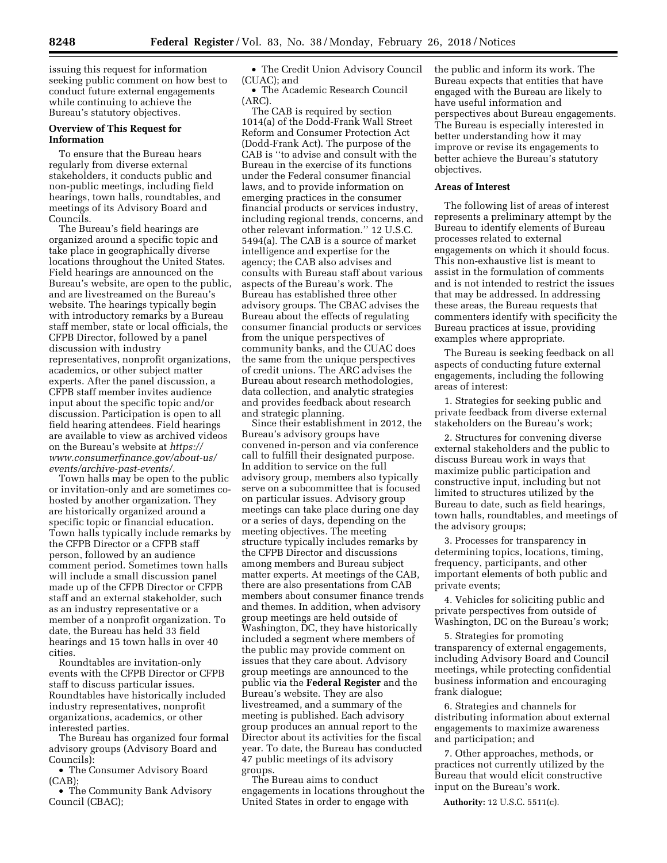issuing this request for information seeking public comment on how best to conduct future external engagements while continuing to achieve the Bureau's statutory objectives.

#### **Overview of This Request for Information**

To ensure that the Bureau hears regularly from diverse external stakeholders, it conducts public and non-public meetings, including field hearings, town halls, roundtables, and meetings of its Advisory Board and Councils.

The Bureau's field hearings are organized around a specific topic and take place in geographically diverse locations throughout the United States. Field hearings are announced on the Bureau's website, are open to the public, and are livestreamed on the Bureau's website. The hearings typically begin with introductory remarks by a Bureau staff member, state or local officials, the CFPB Director, followed by a panel discussion with industry representatives, nonprofit organizations, academics, or other subject matter experts. After the panel discussion, a CFPB staff member invites audience input about the specific topic and/or discussion. Participation is open to all field hearing attendees. Field hearings are available to view as archived videos on the Bureau's website at *[https://](https://www.consumerfinance.gov/about-us/events/archive-past-events/) [www.consumerfinance.gov/about-us/](https://www.consumerfinance.gov/about-us/events/archive-past-events/) [events/archive-past-events/.](https://www.consumerfinance.gov/about-us/events/archive-past-events/)* 

Town halls may be open to the public or invitation-only and are sometimes cohosted by another organization. They are historically organized around a specific topic or financial education. Town halls typically include remarks by the CFPB Director or a CFPB staff person, followed by an audience comment period. Sometimes town halls will include a small discussion panel made up of the CFPB Director or CFPB staff and an external stakeholder, such as an industry representative or a member of a nonprofit organization. To date, the Bureau has held 33 field hearings and 15 town halls in over 40 cities.

Roundtables are invitation-only events with the CFPB Director or CFPB staff to discuss particular issues. Roundtables have historically included industry representatives, nonprofit organizations, academics, or other interested parties.

The Bureau has organized four formal advisory groups (Advisory Board and Councils):

• The Consumer Advisory Board (CAB);

• The Community Bank Advisory Council (CBAC);

• The Credit Union Advisory Council (CUAC); and

• The Academic Research Council (ARC).

The CAB is required by section 1014(a) of the Dodd-Frank Wall Street Reform and Consumer Protection Act (Dodd-Frank Act). The purpose of the CAB is ''to advise and consult with the Bureau in the exercise of its functions under the Federal consumer financial laws, and to provide information on emerging practices in the consumer financial products or services industry, including regional trends, concerns, and other relevant information.'' 12 U.S.C. 5494(a). The CAB is a source of market intelligence and expertise for the agency; the CAB also advises and consults with Bureau staff about various aspects of the Bureau's work. The Bureau has established three other advisory groups. The CBAC advises the Bureau about the effects of regulating consumer financial products or services from the unique perspectives of community banks, and the CUAC does the same from the unique perspectives of credit unions. The ARC advises the Bureau about research methodologies, data collection, and analytic strategies and provides feedback about research and strategic planning.

Since their establishment in 2012, the Bureau's advisory groups have convened in-person and via conference call to fulfill their designated purpose. In addition to service on the full advisory group, members also typically serve on a subcommittee that is focused on particular issues. Advisory group meetings can take place during one day or a series of days, depending on the meeting objectives. The meeting structure typically includes remarks by the CFPB Director and discussions among members and Bureau subject matter experts. At meetings of the CAB, there are also presentations from CAB members about consumer finance trends and themes. In addition, when advisory group meetings are held outside of Washington, DC, they have historically included a segment where members of the public may provide comment on issues that they care about. Advisory group meetings are announced to the public via the **Federal Register** and the Bureau's website. They are also livestreamed, and a summary of the meeting is published. Each advisory group produces an annual report to the Director about its activities for the fiscal year. To date, the Bureau has conducted 47 public meetings of its advisory groups.

The Bureau aims to conduct engagements in locations throughout the United States in order to engage with

the public and inform its work. The Bureau expects that entities that have engaged with the Bureau are likely to have useful information and perspectives about Bureau engagements. The Bureau is especially interested in better understanding how it may improve or revise its engagements to better achieve the Bureau's statutory objectives.

### **Areas of Interest**

The following list of areas of interest represents a preliminary attempt by the Bureau to identify elements of Bureau processes related to external engagements on which it should focus. This non-exhaustive list is meant to assist in the formulation of comments and is not intended to restrict the issues that may be addressed. In addressing these areas, the Bureau requests that commenters identify with specificity the Bureau practices at issue, providing examples where appropriate.

The Bureau is seeking feedback on all aspects of conducting future external engagements, including the following areas of interest:

1. Strategies for seeking public and private feedback from diverse external stakeholders on the Bureau's work;

2. Structures for convening diverse external stakeholders and the public to discuss Bureau work in ways that maximize public participation and constructive input, including but not limited to structures utilized by the Bureau to date, such as field hearings, town halls, roundtables, and meetings of the advisory groups;

3. Processes for transparency in determining topics, locations, timing, frequency, participants, and other important elements of both public and private events;

4. Vehicles for soliciting public and private perspectives from outside of Washington, DC on the Bureau's work;

5. Strategies for promoting transparency of external engagements, including Advisory Board and Council meetings, while protecting confidential business information and encouraging frank dialogue;

6. Strategies and channels for distributing information about external engagements to maximize awareness and participation; and

7. Other approaches, methods, or practices not currently utilized by the Bureau that would elicit constructive input on the Bureau's work.

**Authority:** 12 U.S.C. 5511(c).